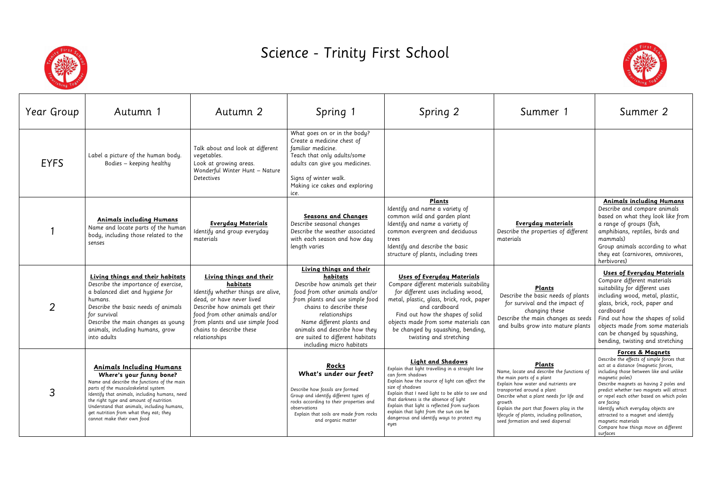

## Science - Trinity First School

| Year Group  | Autumn 1                                                                                                                                                                                                                                                                                                                                                           | Autumn 2                                                                                                                                                                                                                                                   | Spring 1                                                                                                                                                                                                                                                                                                              | Spring 2                                                                                                                                                                                                                                                                                                                                                                                                          | Summer 1                                                                                                                                                                                                                                                                                                                                      | Summer 2                                                                                                                                                                                                                                                                                                                                                                                                                                                                              |
|-------------|--------------------------------------------------------------------------------------------------------------------------------------------------------------------------------------------------------------------------------------------------------------------------------------------------------------------------------------------------------------------|------------------------------------------------------------------------------------------------------------------------------------------------------------------------------------------------------------------------------------------------------------|-----------------------------------------------------------------------------------------------------------------------------------------------------------------------------------------------------------------------------------------------------------------------------------------------------------------------|-------------------------------------------------------------------------------------------------------------------------------------------------------------------------------------------------------------------------------------------------------------------------------------------------------------------------------------------------------------------------------------------------------------------|-----------------------------------------------------------------------------------------------------------------------------------------------------------------------------------------------------------------------------------------------------------------------------------------------------------------------------------------------|---------------------------------------------------------------------------------------------------------------------------------------------------------------------------------------------------------------------------------------------------------------------------------------------------------------------------------------------------------------------------------------------------------------------------------------------------------------------------------------|
| <b>EYFS</b> | Label a picture of the human body.<br>Bodies - keeping healthy                                                                                                                                                                                                                                                                                                     | Talk about and look at different<br>vegetables.<br>Look at growing areas.<br>Wonderful Winter Hunt - Nature<br>Detectives                                                                                                                                  | What goes on or in the body?<br>Create a medicine chest of<br>familiar medicine.<br>Teach that only adults/some<br>adults can give you medicines.<br>Signs of winter walk.<br>Making ice cakes and exploring<br>LCe.                                                                                                  |                                                                                                                                                                                                                                                                                                                                                                                                                   |                                                                                                                                                                                                                                                                                                                                               |                                                                                                                                                                                                                                                                                                                                                                                                                                                                                       |
|             | <b>Animals including Humans</b><br>Name and locate parts of the human<br>body, including those related to the<br>senses                                                                                                                                                                                                                                            | <b>Everyday Materials</b><br>Identify and group everyday<br>materials                                                                                                                                                                                      | Seasons and Changes<br>Describe seasonal changes<br>Describe the weather associated<br>with each season and how day<br>length varies                                                                                                                                                                                  | <b>Plants</b><br>Identify and name a variety of<br>common wild and garden plant<br>Identify and name a variety of<br>common evergreen and deciduous<br>trees<br>Identify and describe the basic<br>structure of plants, including trees                                                                                                                                                                           | Everyday materials<br>Describe the properties of different<br>materials                                                                                                                                                                                                                                                                       | <b>Animals including Humans</b><br>Describe and compare animals<br>based on what they look like from<br>a range of groups (fish,<br>amphibians, reptiles, birds and<br>mammals)<br>Group animals according to what<br>they eat (carnivores, omnivores,<br>herbivores)                                                                                                                                                                                                                 |
|             | Living things and their habitats<br>Describe the importance of exercise,<br>a balanced diet and hygiene for<br>humans.<br>Describe the basic needs of animals<br>for survival<br>Describe the main changes as young<br>animals, including humans, grow<br>into adults                                                                                              | Living things and their<br>habitats<br>Identify whether things are alive,<br>dead, or have never lived<br>Describe how animals get their<br>food from other animals and/or<br>from plants and use simple food<br>chains to describe these<br>relationships | Living things and their<br>habitats<br>Describe how animals get their<br>food from other animals and/or<br>from plants and use simple food<br>chains to describe these<br>relationships<br>Name different plants and<br>animals and describe how they<br>are suited to different habitats<br>including micro habitats | <b>Uses of Everyday Materials</b><br>Compare different materials suitability<br>for different uses including wood,<br>metal, plastic, glass, brick, rock, paper<br>and cardboard<br>Find out how the shapes of solid<br>objects made from some materials can<br>be changed by squashing, bending,<br>twisting and stretching                                                                                      | Plants<br>Describe the basic needs of plants<br>for survival and the impact of<br>changing these<br>Describe the main changes as seeds<br>and bulbs grow into mature plants                                                                                                                                                                   | <b>Uses of Everyday Materials</b><br>Compare different materials<br>suitability for different uses<br>including wood, metal, plastic,<br>glass, brick, rock, paper and<br>cardboard<br>Find out how the shapes of solid<br>objects made from some materials<br>can be changed by squashing,<br>bending, twisting and stretching                                                                                                                                                       |
| 3           | <b>Animals Including Humans</b><br>Where's your funny bone?<br>Name and describe the functions of the main<br>parts of the musculoskeletal system<br>Identify that animals, including humans, need<br>the right type and amount of nutrition<br>Understand that animals, including humans,<br>get nutrition from what they eat; they<br>cannot make their own food |                                                                                                                                                                                                                                                            | <u>Rocks</u><br>What's under our feet?<br>Describe how fossils are formed<br>Group and identify different types of<br>rocks according to their properties and<br>observations<br>Explain that soils are made from rocks<br>and organic matter                                                                         | <b>Light and Shadows</b><br>Explain that light travelling in a straight line<br>can form shadows<br>Explain how the source of light can affect the<br>size of shadows<br>Explain that I need light to be able to see and<br>that darkness is the absence of light<br>Explain that light is reflected from surfaces<br>explain that light from the sun can be<br>dangerous and identify ways to protect my<br>eyes | Plants<br>Name, locate and describe the functions of<br>the main parts of a plant<br>Explain how water and nutrients are<br>transported around a plant<br>Describe what a plant needs for life and<br>growth<br>Explain the part that flowers play in the<br>lifecycle of plants, including pollination,<br>seed formation and seed dispersal | <b>Forces &amp; Magnets</b><br>Describe the effects of simple forces that<br>act at a distance (magnetic forces,<br>including those between like and unlike<br>magnetic poles)<br>Describe magnets as having 2 poles and<br>predict whether two magnets will attract<br>or repel each other based on which poles<br>are facing<br>Identify which everyday objects are<br>attracted to a magnet and identify<br>magnetic materials<br>Compare how things move on different<br>surfaces |